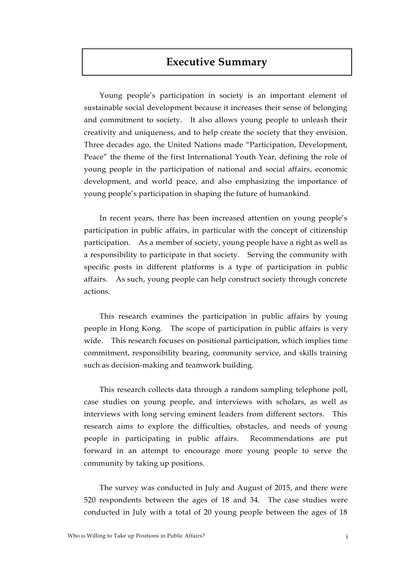# **Executive Summary**

Young people's participation in society is an important element of sustainable social development because it increases their sense of belonging and commitment to society. It also allows young people to unleash their creativity and uniqueness, and to help create the society that they envision. Three decades ago, the United Nations made "Participation, Development, Peace" the theme of the first International Youth Year, defining the role of young people in the participation of national and social affairs, economic development, and world peace, and also emphasizing the importance of young people's participation in shaping the future of humankind.

In recent years, there has been increased attention on young people's participation in public affairs, in particular with the concept of citizenship participation. As a member of society, young people have a right as well as a responsibility to participate in that society. Serving the community with specific posts in different platforms is a type of participation in public affairs. As such, young people can help construct society through concrete actions.

This research examines the participation in public affairs by young people in Hong Kong. The scope of participation in public affairs is very wide. This research focuses on positional participation, which implies time commitment, responsibility bearing, community service, and skills training such as decision-making and teamwork building.

This research collects data through a random sampling telephone poll, case studies on young people, and interviews with scholars, as well as interviews with long serving eminent leaders from different sectors. This research aims to explore the difficulties, obstacles, and needs of young people in participating in public affairs. Recommendations are put forward in an attempt to encourage more young people to serve the community by taking up positions.

The survey was conducted in July and August of 2015, and there were 520 respondents between the ages of 18 and 34. The case studies were conducted in July with a total of 20 young people between the ages of 18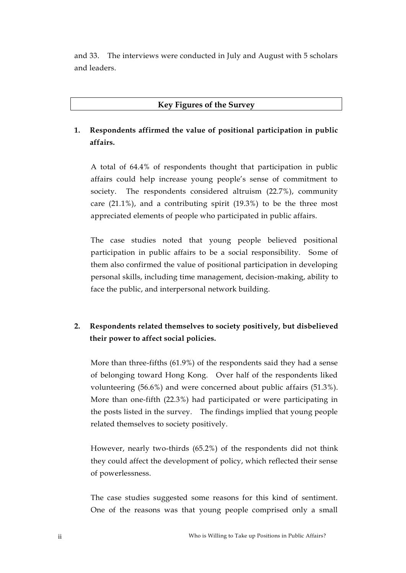and 33. The interviews were conducted in July and August with 5 scholars and leaders.

### **Key Figures of the Survey**

# **1. Respondents affirmed the value of positional participation in public affairs.**

A total of 64.4% of respondents thought that participation in public affairs could help increase young people's sense of commitment to society. The respondents considered altruism (22.7%), community care (21.1%), and a contributing spirit (19.3%) to be the three most appreciated elements of people who participated in public affairs.

The case studies noted that young people believed positional participation in public affairs to be a social responsibility. Some of them also confirmed the value of positional participation in developing personal skills, including time management, decision-making, ability to face the public, and interpersonal network building.

### **2. Respondents related themselves to society positively, but disbelieved their power to affect social policies.**

More than three-fifths (61.9%) of the respondents said they had a sense of belonging toward Hong Kong. Over half of the respondents liked volunteering (56.6%) and were concerned about public affairs (51.3%). More than one-fifth (22.3%) had participated or were participating in the posts listed in the survey. The findings implied that young people related themselves to society positively.

However, nearly two-thirds (65.2%) of the respondents did not think they could affect the development of policy, which reflected their sense of powerlessness.

The case studies suggested some reasons for this kind of sentiment. One of the reasons was that young people comprised only a small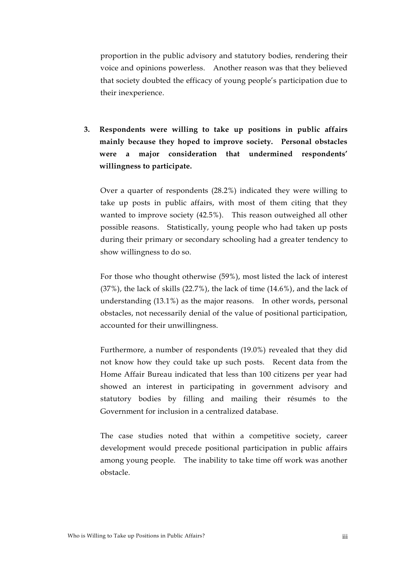proportion in the public advisory and statutory bodies, rendering their voice and opinions powerless. Another reason was that they believed that society doubted the efficacy of young people's participation due to their inexperience.

**3. Respondents were willing to take up positions in public affairs mainly because they hoped to improve society. Personal obstacles were a major consideration that undermined respondents' willingness to participate.**

Over a quarter of respondents (28.2%) indicated they were willing to take up posts in public affairs, with most of them citing that they wanted to improve society (42.5%). This reason outweighed all other possible reasons. Statistically, young people who had taken up posts during their primary or secondary schooling had a greater tendency to show willingness to do so.

For those who thought otherwise (59%), most listed the lack of interest  $(37%)$ , the lack of skills  $(22.7%)$ , the lack of time  $(14.6%)$ , and the lack of understanding (13.1%) as the major reasons. In other words, personal obstacles, not necessarily denial of the value of positional participation, accounted for their unwillingness.

Furthermore, a number of respondents (19.0%) revealed that they did not know how they could take up such posts. Recent data from the Home Affair Bureau indicated that less than 100 citizens per year had showed an interest in participating in government advisory and statutory bodies by filling and mailing their résumés to the Government for inclusion in a centralized database.

The case studies noted that within a competitive society, career development would precede positional participation in public affairs among young people. The inability to take time off work was another obstacle.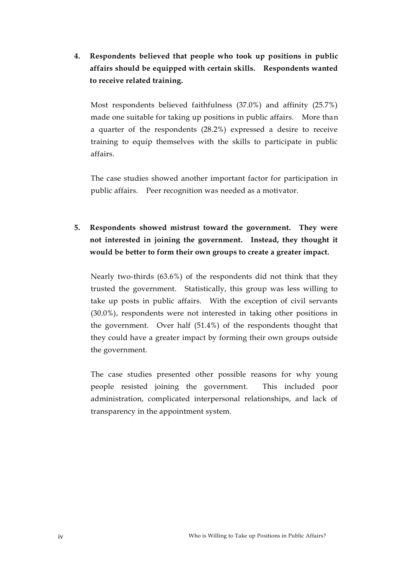**4. Respondents believed that people who took up positions in public affairs should be equipped with certain skills. Respondents wanted to receive related training.** 

Most respondents believed faithfulness (37.0%) and affinity (25.7%) made one suitable for taking up positions in public affairs. More than a quarter of the respondents (28.2%) expressed a desire to receive training to equip themselves with the skills to participate in public affairs.

The case studies showed another important factor for participation in public affairs. Peer recognition was needed as a motivator.

# **5. Respondents showed mistrust toward the government. They were not interested in joining the government. Instead, they thought it would be better to form their own groups to create a greater impact.**

Nearly two-thirds (63.6%) of the respondents did not think that they trusted the government. Statistically, this group was less willing to take up posts in public affairs. With the exception of civil servants (30.0%), respondents were not interested in taking other positions in the government. Over half (51.4%) of the respondents thought that they could have a greater impact by forming their own groups outside the government.

The case studies presented other possible reasons for why young people resisted joining the government. This included poor administration, complicated interpersonal relationships, and lack of transparency in the appointment system.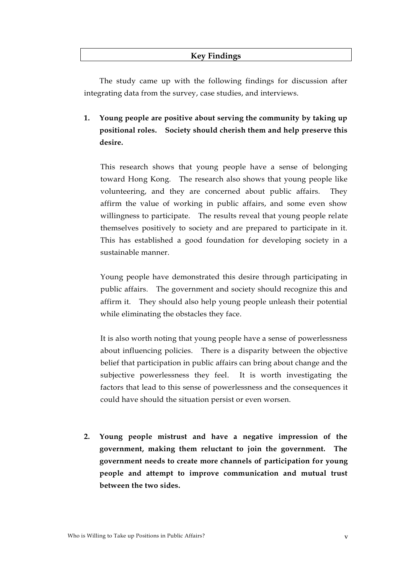#### **Key Findings**

The study came up with the following findings for discussion after integrating data from the survey, case studies, and interviews.

## **1. Young people are positive about serving the community by taking up positional roles. Society should cherish them and help preserve this desire.**

This research shows that young people have a sense of belonging toward Hong Kong. The research also shows that young people like volunteering, and they are concerned about public affairs. They affirm the value of working in public affairs, and some even show willingness to participate. The results reveal that young people relate themselves positively to society and are prepared to participate in it. This has established a good foundation for developing society in a sustainable manner.

Young people have demonstrated this desire through participating in public affairs. The government and society should recognize this and affirm it. They should also help young people unleash their potential while eliminating the obstacles they face.

It is also worth noting that young people have a sense of powerlessness about influencing policies. There is a disparity between the objective belief that participation in public affairs can bring about change and the subjective powerlessness they feel. It is worth investigating the factors that lead to this sense of powerlessness and the consequences it could have should the situation persist or even worsen.

**2. Young people mistrust and have a negative impression of the government, making them reluctant to join the government. The government needs to create more channels of participation for young people and attempt to improve communication and mutual trust between the two sides.**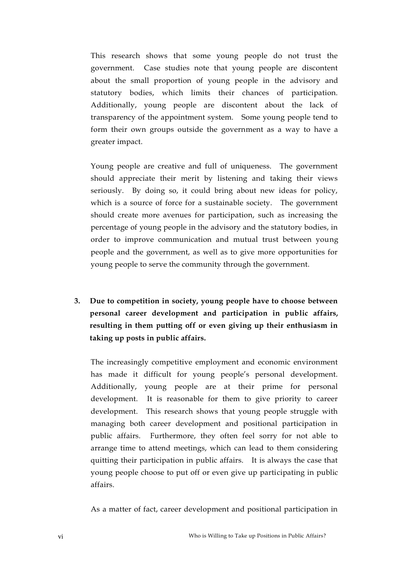This research shows that some young people do not trust the government. Case studies note that young people are discontent about the small proportion of young people in the advisory and statutory bodies, which limits their chances of participation. Additionally, young people are discontent about the lack of transparency of the appointment system. Some young people tend to form their own groups outside the government as a way to have a greater impact.

Young people are creative and full of uniqueness. The government should appreciate their merit by listening and taking their views seriously. By doing so, it could bring about new ideas for policy, which is a source of force for a sustainable society. The government should create more avenues for participation, such as increasing the percentage of young people in the advisory and the statutory bodies, in order to improve communication and mutual trust between young people and the government, as well as to give more opportunities for young people to serve the community through the government.

**3. Due to competition in society, young people have to choose between personal career development and participation in public affairs, resulting in them putting off or even giving up their enthusiasm in taking up posts in public affairs.** 

The increasingly competitive employment and economic environment has made it difficult for young people's personal development. Additionally, young people are at their prime for personal development. It is reasonable for them to give priority to career development. This research shows that young people struggle with managing both career development and positional participation in public affairs. Furthermore, they often feel sorry for not able to arrange time to attend meetings, which can lead to them considering quitting their participation in public affairs. It is always the case that young people choose to put off or even give up participating in public affairs.

As a matter of fact, career development and positional participation in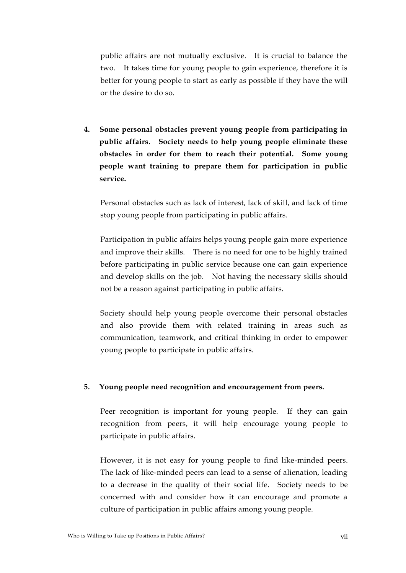public affairs are not mutually exclusive. It is crucial to balance the two. It takes time for young people to gain experience, therefore it is better for young people to start as early as possible if they have the will or the desire to do so.

**4. Some personal obstacles prevent young people from participating in public affairs. Society needs to help young people eliminate these obstacles in order for them to reach their potential. Some young people want training to prepare them for participation in public service.** 

Personal obstacles such as lack of interest, lack of skill, and lack of time stop young people from participating in public affairs.

Participation in public affairs helps young people gain more experience and improve their skills. There is no need for one to be highly trained before participating in public service because one can gain experience and develop skills on the job. Not having the necessary skills should not be a reason against participating in public affairs.

Society should help young people overcome their personal obstacles and also provide them with related training in areas such as communication, teamwork, and critical thinking in order to empower young people to participate in public affairs.

#### **5. Young people need recognition and encouragement from peers.**

Peer recognition is important for young people. If they can gain recognition from peers, it will help encourage young people to participate in public affairs.

However, it is not easy for young people to find like-minded peers. The lack of like-minded peers can lead to a sense of alienation, leading to a decrease in the quality of their social life. Society needs to be concerned with and consider how it can encourage and promote a culture of participation in public affairs among young people.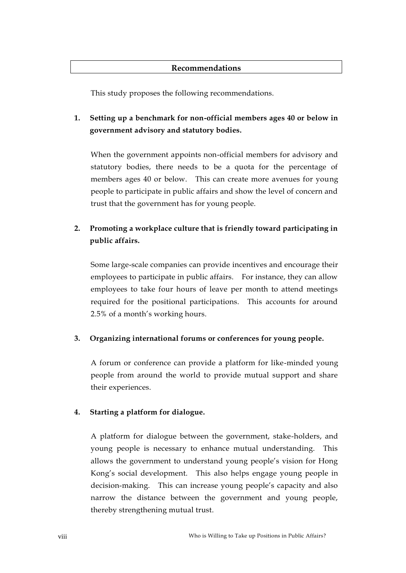#### **Recommendations**

This study proposes the following recommendations.

## **1. Setting up a benchmark for non-official members ages 40 or below in government advisory and statutory bodies.**

When the government appoints non-official members for advisory and statutory bodies, there needs to be a quota for the percentage of members ages 40 or below. This can create more avenues for young people to participate in public affairs and show the level of concern and trust that the government has for young people.

# **2. Promoting a workplace culture that is friendly toward participating in public affairs.**

Some large-scale companies can provide incentives and encourage their employees to participate in public affairs. For instance, they can allow employees to take four hours of leave per month to attend meetings required for the positional participations. This accounts for around 2.5% of a month's working hours.

### **3. Organizing international forums or conferences for young people.**

A forum or conference can provide a platform for like-minded young people from around the world to provide mutual support and share their experiences.

### **4. Starting a platform for dialogue.**

A platform for dialogue between the government, stake-holders, and young people is necessary to enhance mutual understanding. This allows the government to understand young people's vision for Hong Kong's social development. This also helps engage young people in decision-making. This can increase young people's capacity and also narrow the distance between the government and young people, thereby strengthening mutual trust.